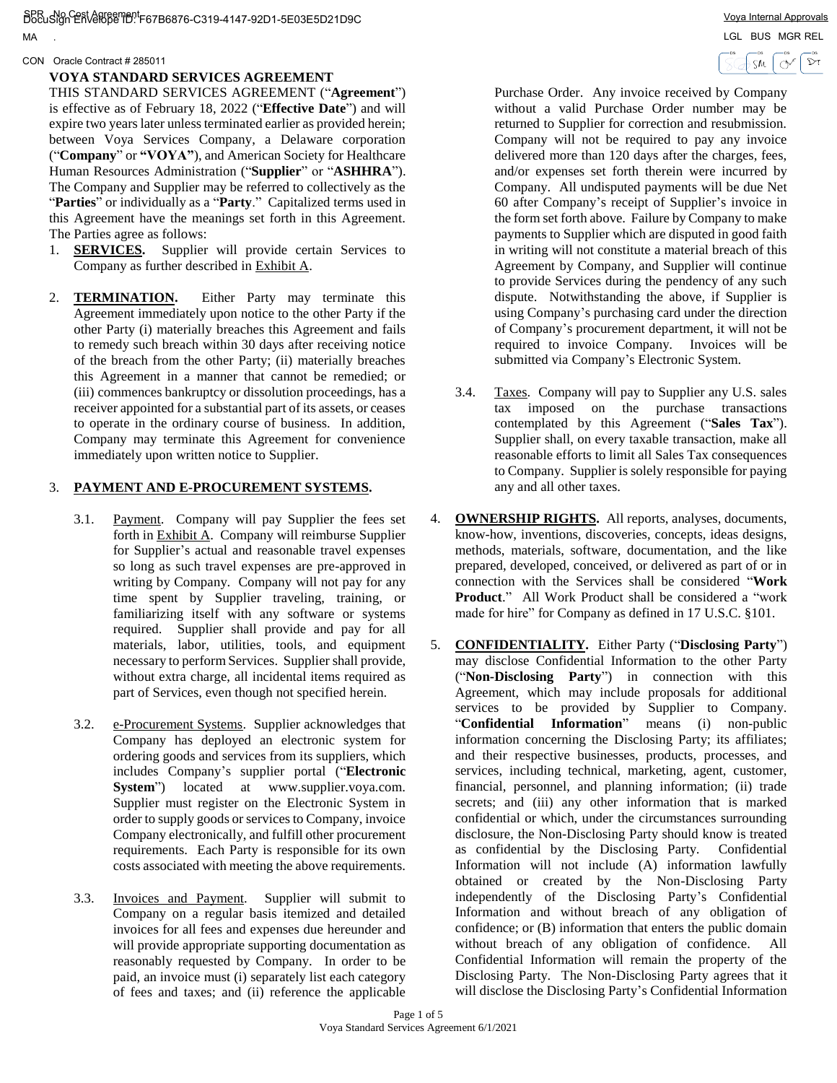DocuSign Envelope ID: F67B6876-C319-4147-92D1-5E03E5D21D9C SPR No Cost Agreement Voya Internal Approvals . LGL BUS MGR REL

MA

#### CON Oracle Contract # 285011

## **VOYA STANDARD SERVICES AGREEMENT**

THIS STANDARD SERVICES AGREEMENT ("**Agreement**") is effective as of February 18, 2022 ("**Effective Date**") and will expire two years later unless terminated earlier as provided herein; between Voya Services Company, a Delaware corporation ("**Company**" or **"VOYA"**), and American Society for Healthcare Human Resources Administration ("**Supplier**" or "**ASHHRA**"). The Company and Supplier may be referred to collectively as the "**Parties**" or individually as a "**Party**." Capitalized terms used in this Agreement have the meanings set forth in this Agreement. The Parties agree as follows:

- 1. **SERVICES.** Supplier will provide certain Services to Company as further described in Exhibit A.
- 2. **TERMINATION.** Either Party may terminate this Agreement immediately upon notice to the other Party if the other Party (i) materially breaches this Agreement and fails to remedy such breach within 30 days after receiving notice of the breach from the other Party; (ii) materially breaches this Agreement in a manner that cannot be remedied; or (iii) commences bankruptcy or dissolution proceedings, has a receiver appointed for a substantial part of its assets, or ceases to operate in the ordinary course of business. In addition, Company may terminate this Agreement for convenience immediately upon written notice to Supplier.

# 3. **PAYMENT AND E-PROCUREMENT SYSTEMS.**

- 3.1. Payment. Company will pay Supplier the fees set forth in Exhibit A. Company will reimburse Supplier for Supplier's actual and reasonable travel expenses so long as such travel expenses are pre-approved in writing by Company. Company will not pay for any time spent by Supplier traveling, training, or familiarizing itself with any software or systems required. Supplier shall provide and pay for all materials, labor, utilities, tools, and equipment necessary to perform Services. Supplier shall provide, without extra charge, all incidental items required as part of Services, even though not specified herein.
- 3.2. e-Procurement Systems. Supplier acknowledges that Company has deployed an electronic system for ordering goods and services from its suppliers, which includes Company's supplier portal ("**Electronic System**") located at www.supplier.voya.com. Supplier must register on the Electronic System in order to supply goods or services to Company, invoice Company electronically, and fulfill other procurement requirements. Each Party is responsible for its own costs associated with meeting the above requirements.
- 3.3. Invoices and Payment. Supplier will submit to Company on a regular basis itemized and detailed invoices for all fees and expenses due hereunder and will provide appropriate supporting documentation as reasonably requested by Company. In order to be paid, an invoice must (i) separately list each category of fees and taxes; and (ii) reference the applicable

Purchase Order. Any invoice received by Company without a valid Purchase Order number may be returned to Supplier for correction and resubmission. Company will not be required to pay any invoice delivered more than 120 days after the charges, fees, and/or expenses set forth therein were incurred by Company. All undisputed payments will be due Net 60 after Company's receipt of Supplier's invoice in the form set forth above. Failure by Company to make payments to Supplier which are disputed in good faith in writing will not constitute a material breach of this Agreement by Company, and Supplier will continue to provide Services during the pendency of any such dispute. Notwithstanding the above, if Supplier is using Company's purchasing card under the direction of Company's procurement department, it will not be required to invoice Company. Invoices will be submitted via Company's Electronic System.

- 3.4. Taxes. Company will pay to Supplier any U.S. sales tax imposed on the purchase transactions contemplated by this Agreement ("**Sales Tax**"). Supplier shall, on every taxable transaction, make all reasonable efforts to limit all Sales Tax consequences to Company. Supplier is solely responsible for paying any and all other taxes.
- 4. **OWNERSHIP RIGHTS.** All reports, analyses, documents, know-how, inventions, discoveries, concepts, ideas designs, methods, materials, software, documentation, and the like prepared, developed, conceived, or delivered as part of or in connection with the Services shall be considered "**Work Product**." All Work Product shall be considered a "work made for hire" for Company as defined in 17 U.S.C. §101.
- 5. **CONFIDENTIALITY.** Either Party ("**Disclosing Party**") may disclose Confidential Information to the other Party ("**Non-Disclosing Party**") in connection with this Agreement, which may include proposals for additional services to be provided by Supplier to Company. "**Confidential Information**" means (i) non-public information concerning the Disclosing Party; its affiliates; and their respective businesses, products, processes, and services, including technical, marketing, agent, customer, financial, personnel, and planning information; (ii) trade secrets; and (iii) any other information that is marked confidential or which, under the circumstances surrounding disclosure, the Non-Disclosing Party should know is treated as confidential by the Disclosing Party. Confidential Information will not include (A) information lawfully obtained or created by the Non-Disclosing Party independently of the Disclosing Party's Confidential Information and without breach of any obligation of confidence; or (B) information that enters the public domain without breach of any obligation of confidence. All Confidential Information will remain the property of the Disclosing Party. The Non-Disclosing Party agrees that it will disclose the Disclosing Party's Confidential Information

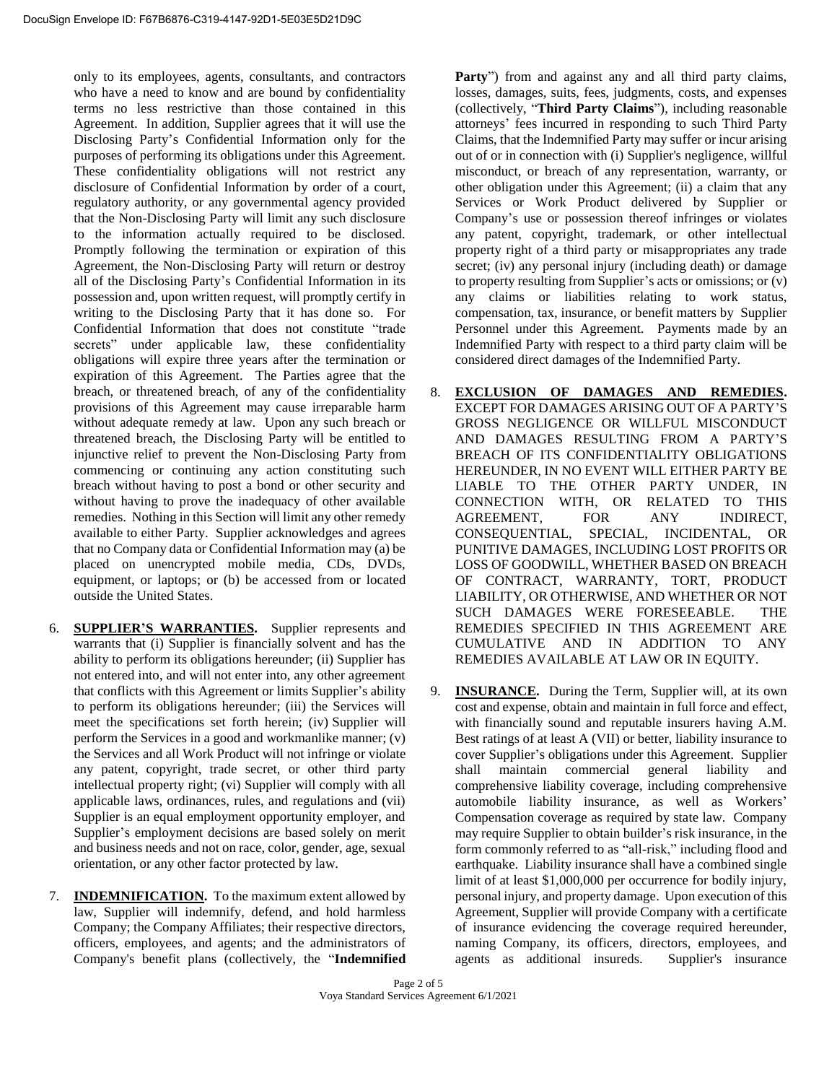only to its employees, agents, consultants, and contractors who have a need to know and are bound by confidentiality terms no less restrictive than those contained in this Agreement. In addition, Supplier agrees that it will use the Disclosing Party's Confidential Information only for the purposes of performing its obligations under this Agreement. These confidentiality obligations will not restrict any disclosure of Confidential Information by order of a court, regulatory authority, or any governmental agency provided that the Non-Disclosing Party will limit any such disclosure to the information actually required to be disclosed. Promptly following the termination or expiration of this Agreement, the Non-Disclosing Party will return or destroy all of the Disclosing Party's Confidential Information in its possession and, upon written request, will promptly certify in writing to the Disclosing Party that it has done so. For Confidential Information that does not constitute "trade secrets" under applicable law, these confidentiality obligations will expire three years after the termination or expiration of this Agreement. The Parties agree that the breach, or threatened breach, of any of the confidentiality provisions of this Agreement may cause irreparable harm without adequate remedy at law. Upon any such breach or threatened breach, the Disclosing Party will be entitled to injunctive relief to prevent the Non-Disclosing Party from commencing or continuing any action constituting such breach without having to post a bond or other security and without having to prove the inadequacy of other available remedies. Nothing in this Section will limit any other remedy available to either Party. Supplier acknowledges and agrees that no Company data or Confidential Information may (a) be placed on unencrypted mobile media, CDs, DVDs, equipment, or laptops; or (b) be accessed from or located outside the United States.

- 6. **SUPPLIER'S WARRANTIES.** Supplier represents and warrants that (i) Supplier is financially solvent and has the ability to perform its obligations hereunder; (ii) Supplier has not entered into, and will not enter into, any other agreement that conflicts with this Agreement or limits Supplier's ability to perform its obligations hereunder; (iii) the Services will meet the specifications set forth herein; (iv) Supplier will perform the Services in a good and workmanlike manner; (v) the Services and all Work Product will not infringe or violate any patent, copyright, trade secret, or other third party intellectual property right; (vi) Supplier will comply with all applicable laws, ordinances, rules, and regulations and (vii) Supplier is an equal employment opportunity employer, and Supplier's employment decisions are based solely on merit and business needs and not on race, color, gender, age, sexual orientation, or any other factor protected by law.
- 7. **INDEMNIFICATION.** To the maximum extent allowed by law, Supplier will indemnify, defend, and hold harmless Company; the Company Affiliates; their respective directors, officers, employees, and agents; and the administrators of Company's benefit plans (collectively, the "**Indemnified**

Party<sup>"</sup>) from and against any and all third party claims, losses, damages, suits, fees, judgments, costs, and expenses (collectively, "**Third Party Claims**"), including reasonable attorneys' fees incurred in responding to such Third Party Claims, that the Indemnified Party may suffer or incur arising out of or in connection with (i) Supplier's negligence, willful misconduct, or breach of any representation, warranty, or other obligation under this Agreement; (ii) a claim that any Services or Work Product delivered by Supplier or Company's use or possession thereof infringes or violates any patent, copyright, trademark, or other intellectual property right of a third party or misappropriates any trade secret; (iv) any personal injury (including death) or damage to property resulting from Supplier's acts or omissions; or (v) any claims or liabilities relating to work status, compensation, tax, insurance, or benefit matters by Supplier Personnel under this Agreement. Payments made by an Indemnified Party with respect to a third party claim will be considered direct damages of the Indemnified Party.

- 8. **EXCLUSION OF DAMAGES AND REMEDIES.** EXCEPT FOR DAMAGES ARISING OUT OF A PARTY'S GROSS NEGLIGENCE OR WILLFUL MISCONDUCT AND DAMAGES RESULTING FROM A PARTY'S BREACH OF ITS CONFIDENTIALITY OBLIGATIONS HEREUNDER, IN NO EVENT WILL EITHER PARTY BE LIABLE TO THE OTHER PARTY UNDER, IN CONNECTION WITH, OR RELATED TO THIS<br>AGREEMENT, FOR ANY INDIRECT. AGREEMENT, FOR ANY INDIRECT, CONSEQUENTIAL, SPECIAL, INCIDENTAL, OR PUNITIVE DAMAGES, INCLUDING LOST PROFITS OR LOSS OF GOODWILL, WHETHER BASED ON BREACH OF CONTRACT, WARRANTY, TORT, PRODUCT LIABILITY, OR OTHERWISE, AND WHETHER OR NOT SUCH DAMAGES WERE FORESEEABLE. THE REMEDIES SPECIFIED IN THIS AGREEMENT ARE CUMULATIVE AND IN ADDITION TO ANY REMEDIES AVAILABLE AT LAW OR IN EQUITY.
- 9. **INSURANCE.** During the Term, Supplier will, at its own cost and expense, obtain and maintain in full force and effect, with financially sound and reputable insurers having A.M. Best ratings of at least A (VII) or better, liability insurance to cover Supplier's obligations under this Agreement. Supplier shall maintain commercial general liability and comprehensive liability coverage, including comprehensive automobile liability insurance, as well as Workers' Compensation coverage as required by state law. Company may require Supplier to obtain builder's risk insurance, in the form commonly referred to as "all-risk," including flood and earthquake. Liability insurance shall have a combined single limit of at least \$1,000,000 per occurrence for bodily injury, personal injury, and property damage. Upon execution of this Agreement, Supplier will provide Company with a certificate of insurance evidencing the coverage required hereunder, naming Company, its officers, directors, employees, and agents as additional insureds. Supplier's insurance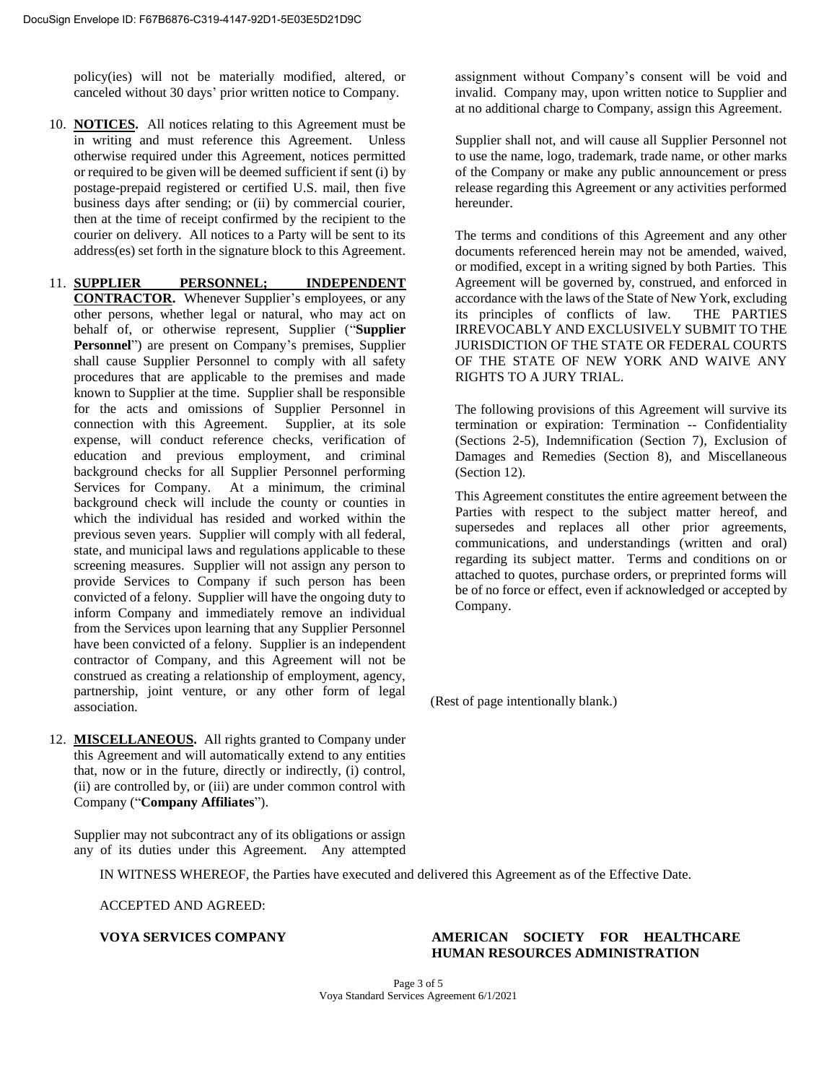policy(ies) will not be materially modified, altered, or canceled without 30 days' prior written notice to Company.

10. **NOTICES.** All notices relating to this Agreement must be in writing and must reference this Agreement. Unless otherwise required under this Agreement, notices permitted or required to be given will be deemed sufficient if sent (i) by postage-prepaid registered or certified U.S. mail, then five business days after sending; or (ii) by commercial courier, then at the time of receipt confirmed by the recipient to the courier on delivery. All notices to a Party will be sent to its address(es) set forth in the signature block to this Agreement.

11. **SUPPLIER PERSONNEL; INDEPENDENT CONTRACTOR.** Whenever Supplier's employees, or any other persons, whether legal or natural, who may act on behalf of, or otherwise represent, Supplier ("**Supplier Personnel**") are present on Company's premises, Supplier shall cause Supplier Personnel to comply with all safety procedures that are applicable to the premises and made known to Supplier at the time. Supplier shall be responsible for the acts and omissions of Supplier Personnel in connection with this Agreement. Supplier, at its sole expense, will conduct reference checks, verification of education and previous employment, and criminal background checks for all Supplier Personnel performing Services for Company. At a minimum, the criminal background check will include the county or counties in which the individual has resided and worked within the previous seven years. Supplier will comply with all federal, state, and municipal laws and regulations applicable to these screening measures. Supplier will not assign any person to provide Services to Company if such person has been convicted of a felony. Supplier will have the ongoing duty to inform Company and immediately remove an individual from the Services upon learning that any Supplier Personnel have been convicted of a felony. Supplier is an independent contractor of Company, and this Agreement will not be construed as creating a relationship of employment, agency, partnership, joint venture, or any other form of legal association.

12. **MISCELLANEOUS.** All rights granted to Company under this Agreement and will automatically extend to any entities that, now or in the future, directly or indirectly, (i) control, (ii) are controlled by, or (iii) are under common control with Company ("**Company Affiliates**").

Supplier may not subcontract any of its obligations or assign any of its duties under this Agreement. Any attempted assignment without Company's consent will be void and invalid. Company may, upon written notice to Supplier and at no additional charge to Company, assign this Agreement.

Supplier shall not, and will cause all Supplier Personnel not to use the name, logo, trademark, trade name, or other marks of the Company or make any public announcement or press release regarding this Agreement or any activities performed hereunder.

The terms and conditions of this Agreement and any other documents referenced herein may not be amended, waived, or modified, except in a writing signed by both Parties. This Agreement will be governed by, construed, and enforced in accordance with the laws of the State of New York, excluding its principles of conflicts of law. THE PARTIES IRREVOCABLY AND EXCLUSIVELY SUBMIT TO THE JURISDICTION OF THE STATE OR FEDERAL COURTS OF THE STATE OF NEW YORK AND WAIVE ANY RIGHTS TO A JURY TRIAL.

The following provisions of this Agreement will survive its termination or expiration: Termination -- Confidentiality (Sections 2-5), Indemnification (Section 7), Exclusion of Damages and Remedies (Section 8), and Miscellaneous (Section 12).

This Agreement constitutes the entire agreement between the Parties with respect to the subject matter hereof, and supersedes and replaces all other prior agreements, communications, and understandings (written and oral) regarding its subject matter. Terms and conditions on or attached to quotes, purchase orders, or preprinted forms will be of no force or effect, even if acknowledged or accepted by Company.

(Rest of page intentionally blank.)

IN WITNESS WHEREOF, the Parties have executed and delivered this Agreement as of the Effective Date.

ACCEPTED AND AGREED:

# **VOYA SERVICES COMPANY AMERICAN SOCIETY FOR HEALTHCARE HUMAN RESOURCES ADMINISTRATION**

Page 3 of 5 Voya Standard Services Agreement 6/1/2021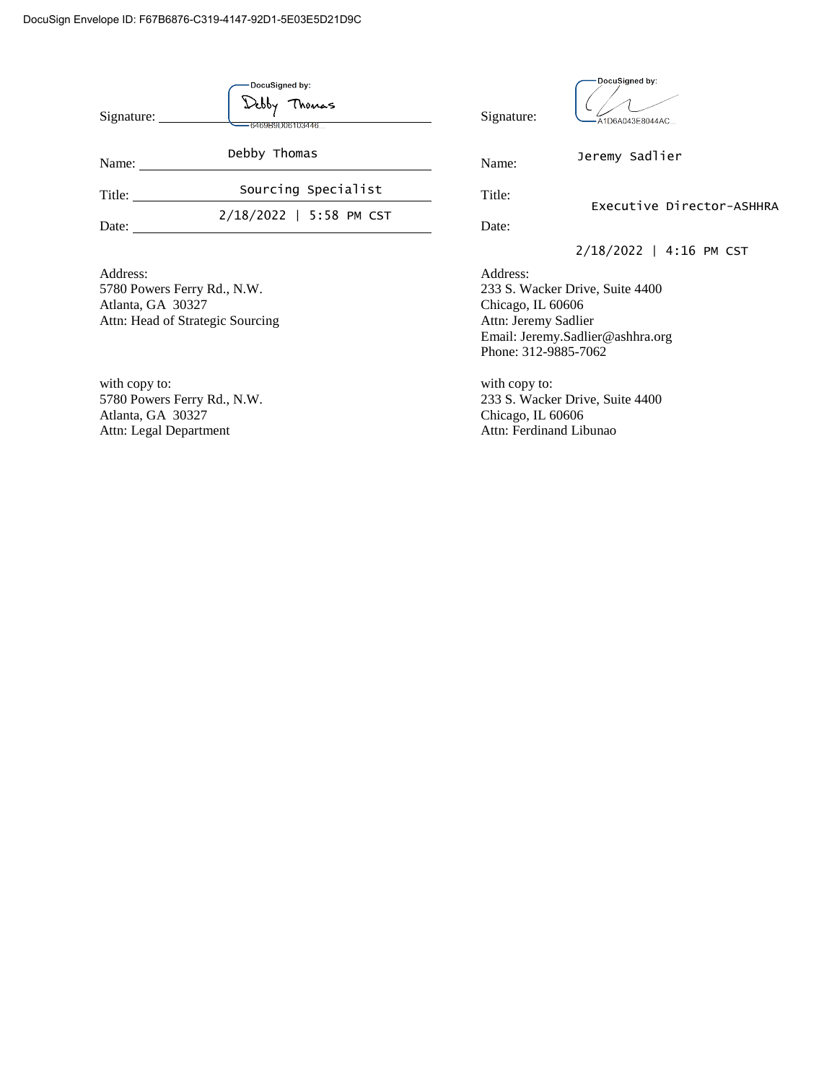| Signature:                                                                                       | DocuSigned by:<br>Deppy<br>lhonas<br>6469B9D06103446 | Signature:                                                                                                                                           | DocuSigned by:<br>A1D6A043E8044AC |
|--------------------------------------------------------------------------------------------------|------------------------------------------------------|------------------------------------------------------------------------------------------------------------------------------------------------------|-----------------------------------|
| Name:                                                                                            | Debby Thomas                                         | Name:                                                                                                                                                | Jeremy Sadlier                    |
| Title:                                                                                           | Sourcing Specialist                                  | Title:<br>Executive Director-ASHHRA<br>Date:                                                                                                         |                                   |
| Date:                                                                                            | 2/18/2022   5:58 PM CST                              |                                                                                                                                                      |                                   |
|                                                                                                  |                                                      |                                                                                                                                                      | 2/18/2022   4:16 PM CST           |
| Address:<br>5780 Powers Ferry Rd., N.W.<br>Atlanta, GA 30327<br>Attn: Head of Strategic Sourcing |                                                      | Address:<br>233 S. Wacker Drive, Suite 4400<br>Chicago, IL 60606<br>Attn: Jeremy Sadlier<br>Email: Jeremy.Sadlier@ashhra.org<br>Phone: 312-9885-7062 |                                   |
| with copy to:<br>5780 Powers Ferry Rd., N.W.<br>Atlanta, GA 30327<br>Attn: Legal Department      |                                                      | with copy to:<br>233 S. Wacker Drive, Suite 4400<br>Chicago, IL 60606<br>Attn: Ferdinand Libunao                                                     |                                   |

Attn: Legal Department